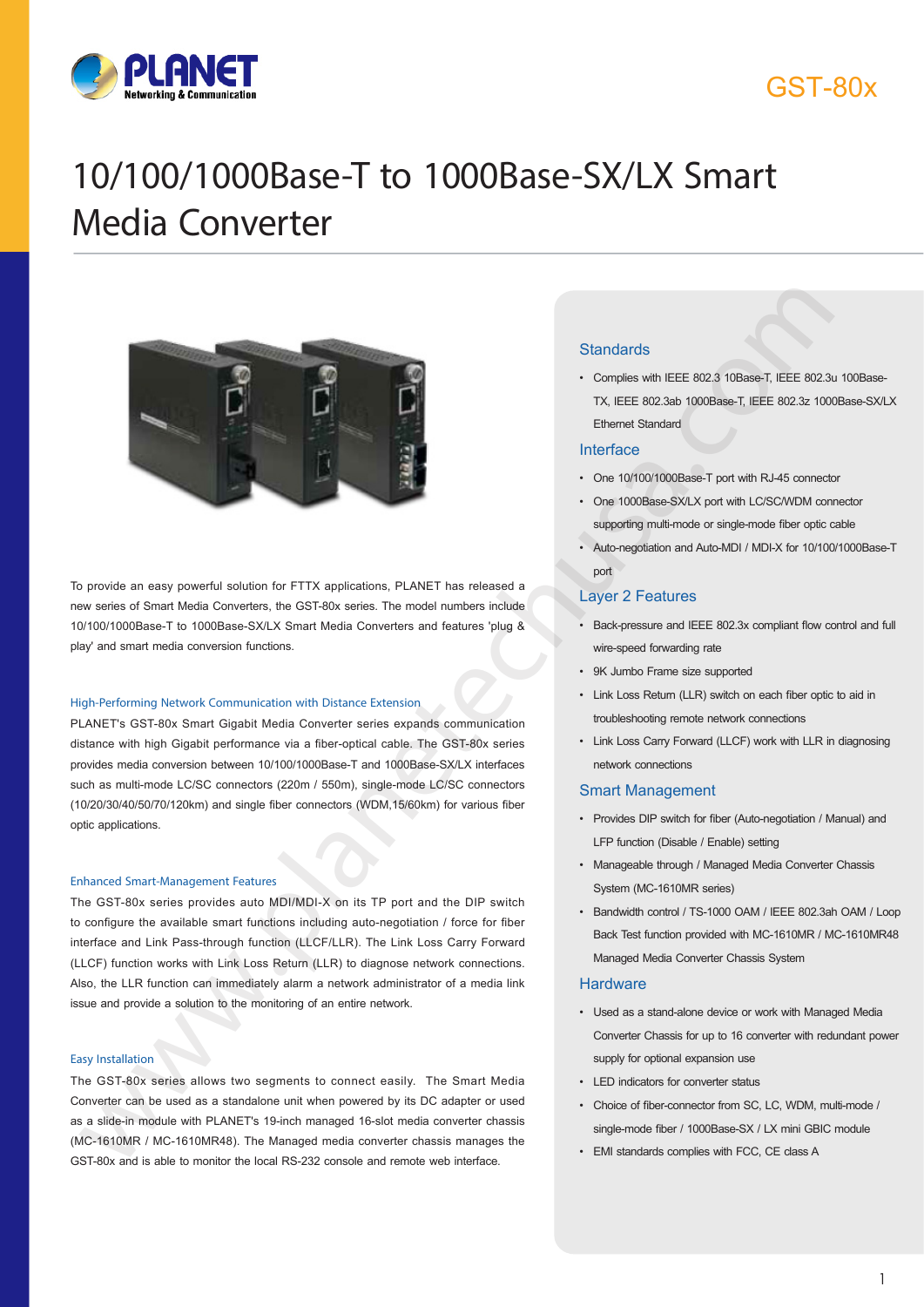

### GST-80x

# 10/100/1000Base-T to 1000Base-SX/LX Smart Media Converter



To provide an easy powerful solution for FTTX applications, PLANET has released a new series of Smart Media Converters, the GST-80x series. The model numbers include 10/100/1000Base-T to 1000Base-SX/LX Smart Media Converters and features 'plug & play' and smart media conversion functions.

#### High-Performing Network Communication with Distance Extension

PLANET's GST-80x Smart Gigabit Media Converter series expands communication distance with high Gigabit performance via a fiber-optical cable. The GST-80x series provides media conversion between 10/100/1000Base-T and 1000Base-SX/LX interfaces such as multi-mode LC/SC connectors (220m / 550m), single-mode LC/SC connectors (10/20/30/40/50/70/120km) and single fiber connectors (WDM,15/60km) for various fiber optic applications.

#### Enhanced Smart-Management Features

The GST-80x series provides auto MDI/MDI-X on its TP port and the DIP switch to configure the available smart functions including auto-negotiation / force for fiber interface and Link Pass-through function (LLCF/LLR). The Link Loss Carry Forward (LLCF) function works with Link Loss Return (LLR) to diagnose network connections. Also, the LLR function can immediately alarm a network administrator of a media link issue and provide a solution to the monitoring of an entire network.

#### Easy Installation

The GST-80x series allows two segments to connect easily. The Smart Media Converter can be used as a standalone unit when powered by its DC adapter or used as a slide-in module with PLANET's 19-inch managed 16-slot media converter chassis (MC-1610MR / MC-1610MR48). The Managed media converter chassis manages the GST-80x and is able to monitor the local RS-232 console and remote web interface.

#### **Standards**

• Complies with IEEE 802.3 10Base-T, IEEE 802.3u 100Base-TX, IEEE 802.3ab 1000Base-T, IEEE 802.3z 1000Base-SX/LX Ethernet Standard

#### Interface

- One 10/100/1000Base-T port with RJ-45 connector
- One 1000Base-SX/LX port with LC/SC/WDM connector supporting multi-mode or single-mode fiber optic cable
- Auto-negotiation and Auto-MDI / MDI-X for 10/100/1000Base-T port

#### Layer 2 Features

- Back-pressure and IEEE 802.3x compliant flow control and full wire-speed forwarding rate
- 9K Jumbo Frame size supported
- Link Loss Return (LLR) switch on each fiber optic to aid in troubleshooting remote network connections
- Link Loss Carry Forward (LLCF) work with LLR in diagnosing network connections

#### Smart Management

- Provides DIP switch for fiber (Auto-negotiation / Manual) and LFP function (Disable / Enable) setting
- Manageable through / Managed Media Converter Chassis System (MC-1610MR series)
- Bandwidth control / TS-1000 OAM / IEEE 802.3ah OAM / Loop Back Test function provided with MC-1610MR / MC-1610MR48 Managed Media Converter Chassis System

#### **Hardware**

- Used as a stand-alone device or work with Managed Media Converter Chassis for up to 16 converter with redundant power supply for optional expansion use
- LED indicators for converter status
- Choice of fiber-connector from SC, LC, WDM, multi-mode /
- EMI standards complies with FCC, CE class A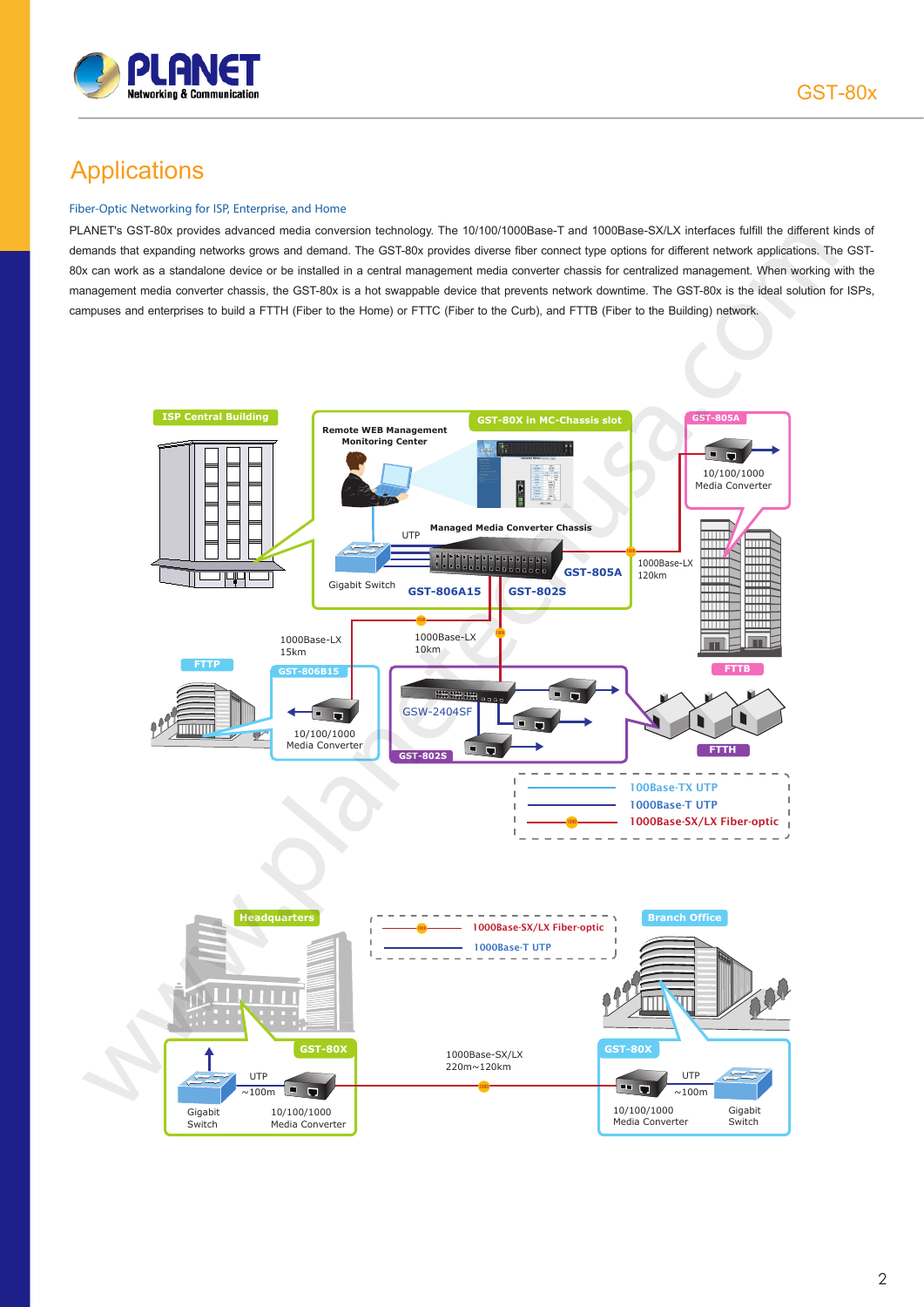

### **Applications**

#### Fiber-Optic Networking for ISP, Enterprise, and Home

PLANET's GST-80x provides advanced media conversion technology. The 10/100/1000Base-T and 1000Base-SX/LX interfaces fulfill the different kinds of demands that expanding networks grows and demand. The GST-80x provides diverse fiber connect type options for different network applications. The GST-80x can work as a standalone device or be installed in a central management media converter chassis for centralized management. When working with the management media converter chassis, the GST-80x is a hot swappable device that prevents network downtime. The GST-80x is the ideal solution for ISPs, campuses and enterprises to build a FTTH (Fiber to the Home) or FTTC (Fiber to the Curb), and FTTB (Fiber to the Building) network.

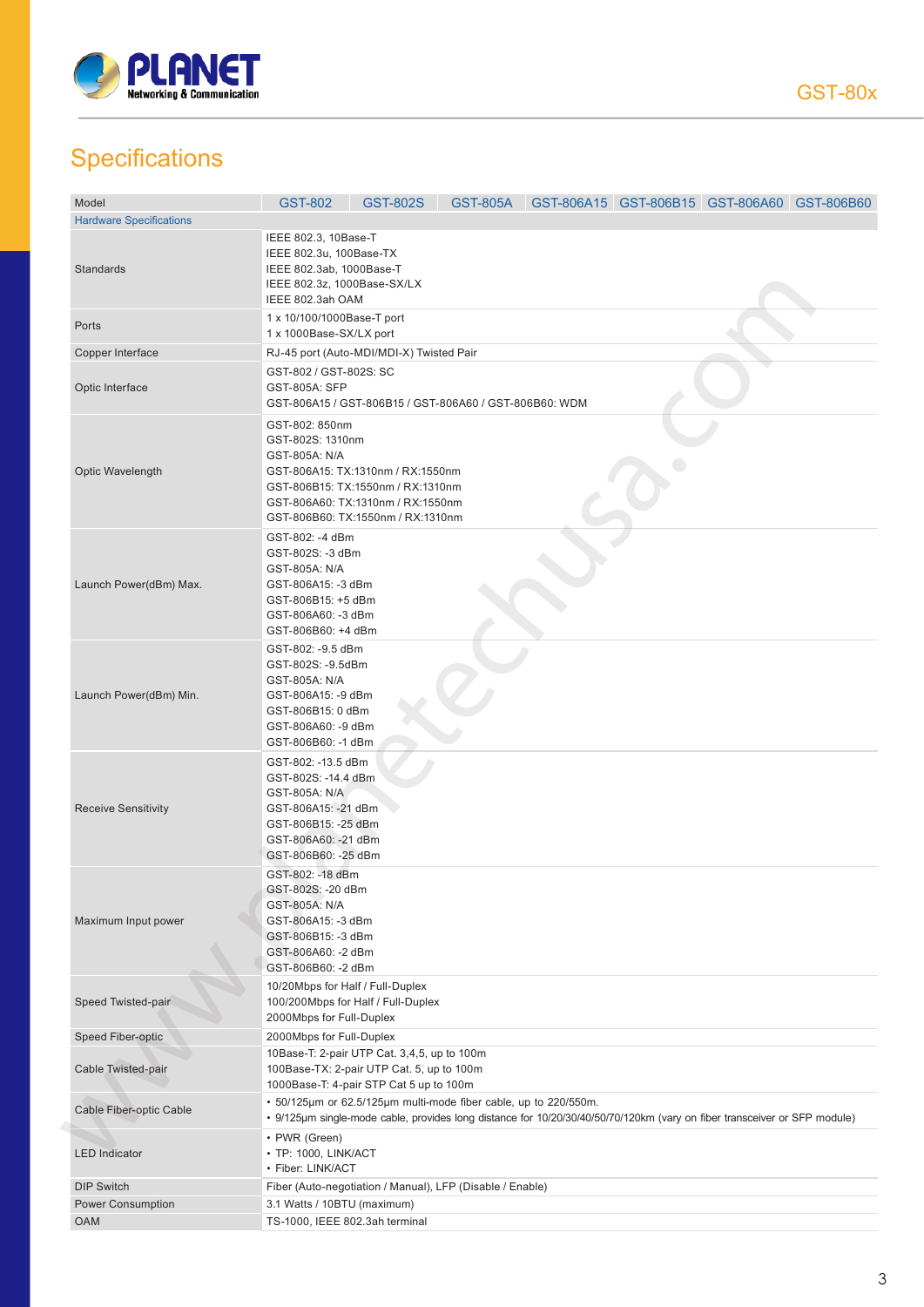

## **Specifications**

| Model                          | <b>GST-802</b>                                                                                                                                           | <b>GST-802S</b>                                                                                                                                  |  | GST-805A GST-806A15 GST-806B15 GST-806A60 GST-806B60                                                                      |  |  |  |
|--------------------------------|----------------------------------------------------------------------------------------------------------------------------------------------------------|--------------------------------------------------------------------------------------------------------------------------------------------------|--|---------------------------------------------------------------------------------------------------------------------------|--|--|--|
| <b>Hardware Specifications</b> |                                                                                                                                                          |                                                                                                                                                  |  |                                                                                                                           |  |  |  |
| Standards                      | IEEE 802.3, 10Base-T<br>IEEE 802.3u, 100Base-TX<br>IEEE 802.3ab, 1000Base-T<br>IEEE 802.3z, 1000Base-SX/LX<br>IEEE 802.3ah OAM                           |                                                                                                                                                  |  |                                                                                                                           |  |  |  |
| Ports                          | 1 x 10/100/1000Base-T port<br>1 x 1000Base-SX/LX port                                                                                                    |                                                                                                                                                  |  |                                                                                                                           |  |  |  |
| Copper Interface               |                                                                                                                                                          | RJ-45 port (Auto-MDI/MDI-X) Twisted Pair                                                                                                         |  |                                                                                                                           |  |  |  |
| Optic Interface                | GST-802 / GST-802S: SC<br>GST-805A: SFP<br>GST-806A15 / GST-806B15 / GST-806A60 / GST-806B60: WDM                                                        |                                                                                                                                                  |  |                                                                                                                           |  |  |  |
| Optic Wavelength               | GST-802: 850nm<br>GST-802S: 1310nm<br>GST-805A: N/A                                                                                                      | GST-806A15: TX:1310nm / RX:1550nm<br>GST-806B15: TX:1550nm / RX:1310nm<br>GST-806A60: TX:1310nm / RX:1550nm<br>GST-806B60: TX:1550nm / RX:1310nm |  |                                                                                                                           |  |  |  |
| Launch Power(dBm) Max.         | GST-802: -4 dBm<br>GST-802S: -3 dBm<br>GST-805A: N/A<br>GST-806A15: -3 dBm<br>GST-806B15: +5 dBm<br>GST-806A60: -3 dBm<br>GST-806B60: +4 dBm             |                                                                                                                                                  |  |                                                                                                                           |  |  |  |
| Launch Power(dBm) Min.         | GST-802: - 9.5 dBm<br>GST-802S: -9.5dBm<br>GST-805A: N/A<br>GST-806A15: -9 dBm<br>GST-806B15: 0 dBm<br>GST-806A60: -9 dBm<br>GST-806B60: -1 dBm          |                                                                                                                                                  |  |                                                                                                                           |  |  |  |
| <b>Receive Sensitivity</b>     | GST-802: -13.5 dBm<br>GST-802S: -14.4 dBm<br>GST-805A: N/A<br>GST-806A15: -21 dBm<br>GST-806B15: -25 dBm<br>GST-806A60: - 21 dBm<br>GST-806B60: - 25 dBm |                                                                                                                                                  |  |                                                                                                                           |  |  |  |
| Maximum Input power            | GST-802: -18 dBm<br>GST-802S: - 20 dBm<br>GST-805A: N/A<br>GST-806A15: -3 dBm<br>GST-806B15: -3 dBm<br>GST-806A60: -2 dBm<br>GST-806B60: - 2 dBm         |                                                                                                                                                  |  |                                                                                                                           |  |  |  |
| Speed Twisted-pair             | 10/20Mbps for Half / Full-Duplex<br>2000Mbps for Full-Duplex                                                                                             | 100/200Mbps for Half / Full-Duplex                                                                                                               |  |                                                                                                                           |  |  |  |
| Speed Fiber-optic              | 2000Mbps for Full-Duplex                                                                                                                                 |                                                                                                                                                  |  |                                                                                                                           |  |  |  |
| Cable Twisted-pair             |                                                                                                                                                          | 10Base-T: 2-pair UTP Cat. 3,4,5, up to 100m<br>100Base-TX: 2-pair UTP Cat. 5, up to 100m<br>1000Base-T: 4-pair STP Cat 5 up to 100m              |  |                                                                                                                           |  |  |  |
| Cable Fiber-optic Cable        |                                                                                                                                                          | · 50/125µm or 62.5/125µm multi-mode fiber cable, up to 220/550m.                                                                                 |  | • 9/125µm single-mode cable, provides long distance for 10/20/30/40/50/70/120km (vary on fiber transceiver or SFP module) |  |  |  |
| <b>LED</b> Indicator           | • PWR (Green)<br>• TP: 1000, LINK/ACT<br>• Fiber: LINK/ACT                                                                                               |                                                                                                                                                  |  |                                                                                                                           |  |  |  |
| <b>DIP Switch</b>              | Fiber (Auto-negotiation / Manual), LFP (Disable / Enable)                                                                                                |                                                                                                                                                  |  |                                                                                                                           |  |  |  |
| <b>Power Consumption</b>       | 3.1 Watts / 10BTU (maximum)                                                                                                                              |                                                                                                                                                  |  |                                                                                                                           |  |  |  |
| <b>OAM</b>                     | TS-1000, IEEE 802.3ah terminal                                                                                                                           |                                                                                                                                                  |  |                                                                                                                           |  |  |  |